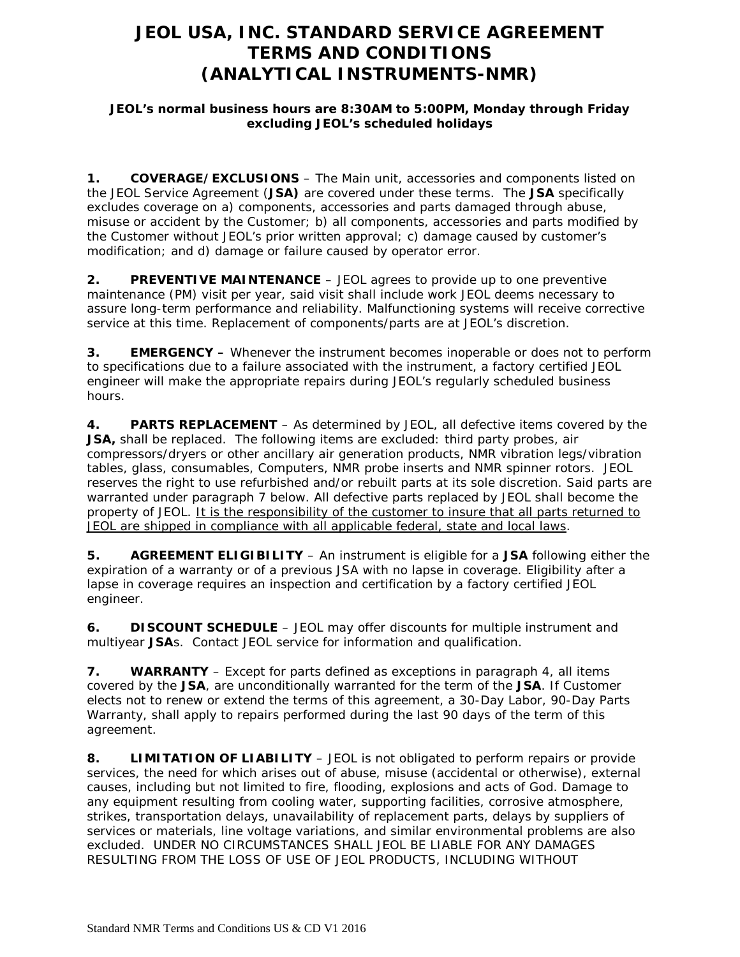# **JEOL USA, INC. STANDARD SERVICE AGREEMENT TERMS AND CONDITIONS (ANALYTICAL INSTRUMENTS-NMR)**

#### **JEOL's normal business hours are 8:30AM to 5:00PM, Monday through Friday excluding JEOL's scheduled holidays**

**1. COVERAGE/EXCLUSIONS** – The Main unit, accessories and components listed on the JEOL Service Agreement (**JSA)** are covered under these terms. The **JSA** specifically excludes coverage on a) components, accessories and parts damaged through abuse, misuse or accident by the Customer; b) all components, accessories and parts modified by the Customer without JEOL's prior written approval; c) damage caused by customer's modification; and d) damage or failure caused by operator error.

**2. PREVENTIVE MAINTENANCE** – JEOL agrees to provide up to one preventive maintenance (PM) visit per year, said visit shall include work JEOL deems necessary to assure long-term performance and reliability. Malfunctioning systems will receive corrective service at this time. Replacement of components/parts are at JEOL's discretion.

**3. EMERGENCY –** Whenever the instrument becomes inoperable or does not to perform to specifications due to a failure associated with the instrument, a factory certified JEOL engineer will make the appropriate repairs during JEOL's regularly scheduled business hours.

**4. PARTS REPLACEMENT** – As determined by JEOL, all defective items covered by the **JSA,** shall be replaced. The following items are excluded: third party probes, air compressors/dryers or other ancillary air generation products, NMR vibration legs/vibration tables, glass, consumables, Computers, NMR probe inserts and NMR spinner rotors. JEOL reserves the right to use refurbished and/or rebuilt parts at its sole discretion. Said parts are warranted under paragraph 7 below. All defective parts replaced by JEOL shall become the property of JEOL. It is the responsibility of the customer to insure that all parts returned to JEOL are shipped in compliance with all applicable federal, state and local laws.

**5. AGREEMENT ELIGIBILITY** – An instrument is eligible for a **JSA** following either the expiration of a warranty or of a previous JSA with no lapse in coverage. Eligibility after a lapse in coverage requires an inspection and certification by a factory certified JEOL engineer.

**6. DISCOUNT SCHEDULE** – JEOL may offer discounts for multiple instrument and multiyear **JSA**s. Contact JEOL service for information and qualification.

**7. WARRANTY** – Except for parts defined as exceptions in paragraph 4, all items covered by the **JSA**, are unconditionally warranted for the term of the **JSA**. If Customer elects not to renew or extend the terms of this agreement, a 30-Day Labor, 90-Day Parts Warranty, shall apply to repairs performed during the last 90 days of the term of this agreement.

**8. LIMITATION OF LIABILITY** – JEOL is not obligated to perform repairs or provide services, the need for which arises out of abuse, misuse (accidental or otherwise), external causes, including but not limited to fire, flooding, explosions and acts of God. Damage to any equipment resulting from cooling water, supporting facilities, corrosive atmosphere, strikes, transportation delays, unavailability of replacement parts, delays by suppliers of services or materials, line voltage variations, and similar environmental problems are also excluded. UNDER NO CIRCUMSTANCES SHALL JEOL BE LIABLE FOR ANY DAMAGES RESULTING FROM THE LOSS OF USE OF JEOL PRODUCTS, INCLUDING WITHOUT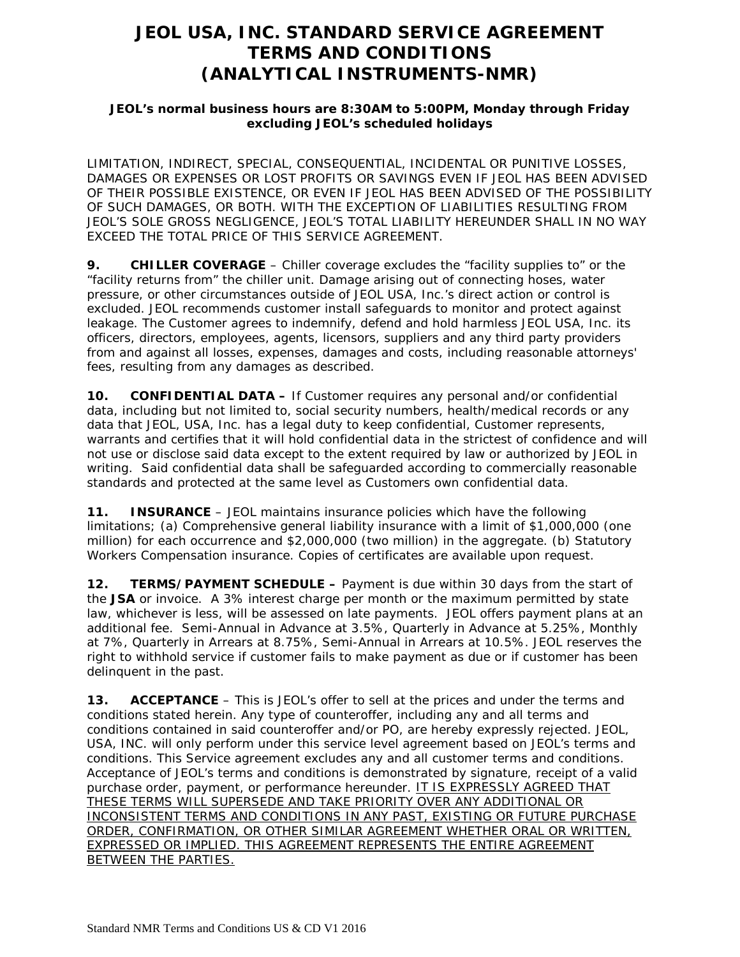## **JEOL USA, INC. STANDARD SERVICE AGREEMENT TERMS AND CONDITIONS (ANALYTICAL INSTRUMENTS-NMR)**

#### **JEOL's normal business hours are 8:30AM to 5:00PM, Monday through Friday excluding JEOL's scheduled holidays**

LIMITATION, INDIRECT, SPECIAL, CONSEQUENTIAL, INCIDENTAL OR PUNITIVE LOSSES, DAMAGES OR EXPENSES OR LOST PROFITS OR SAVINGS EVEN IF JEOL HAS BEEN ADVISED OF THEIR POSSIBLE EXISTENCE, OR EVEN IF JEOL HAS BEEN ADVISED OF THE POSSIBILITY OF SUCH DAMAGES, OR BOTH. WITH THE EXCEPTION OF LIABILITIES RESULTING FROM JEOL'S SOLE GROSS NEGLIGENCE, JEOL'S TOTAL LIABILITY HEREUNDER SHALL IN NO WAY EXCEED THE TOTAL PRICE OF THIS SERVICE AGREEMENT.

**9. CHILLER COVERAGE** – Chiller coverage excludes the "facility supplies to" or the "facility returns from" the chiller unit. Damage arising out of connecting hoses, water pressure, or other circumstances outside of JEOL USA, Inc.'s direct action or control is excluded. JEOL recommends customer install safeguards to monitor and protect against leakage. The Customer agrees to indemnify, defend and hold harmless JEOL USA, Inc. its officers, directors, employees, agents, licensors, suppliers and any third party providers from and against all losses, expenses, damages and costs, including reasonable attorneys' fees, resulting from any damages as described.

**10. CONFIDENTIAL DATA –** If Customer requires any personal and/or confidential data, including but not limited to, social security numbers, health/medical records or any data that JEOL, USA, Inc. has a legal duty to keep confidential, Customer represents, warrants and certifies that it will hold confidential data in the strictest of confidence and will not use or disclose said data except to the extent required by law or authorized by JEOL in writing. Said confidential data shall be safeguarded according to commercially reasonable standards and protected at the same level as Customers own confidential data.

**11. INSURANCE** – JEOL maintains insurance policies which have the following limitations; (a) Comprehensive general liability insurance with a limit of \$1,000,000 (one million) for each occurrence and \$2,000,000 (two million) in the aggregate. (b) Statutory Workers Compensation insurance. Copies of certificates are available upon request.

**12. TERMS/PAYMENT SCHEDULE –** Payment is due within 30 days from the start of the **JSA** or invoice. A 3% interest charge per month or the maximum permitted by state law, whichever is less, will be assessed on late payments. JEOL offers payment plans at an additional fee. Semi-Annual in Advance at 3.5%, Quarterly in Advance at 5.25%, Monthly at 7%, Quarterly in Arrears at 8.75%, Semi-Annual in Arrears at 10.5%. JEOL reserves the right to withhold service if customer fails to make payment as due or if customer has been delinquent in the past.

**13. ACCEPTANCE** – This is JEOL's offer to sell at the prices and under the terms and conditions stated herein. Any type of counteroffer, including any and all terms and conditions contained in said counteroffer and/or PO, are hereby expressly rejected. JEOL, USA, INC. will only perform under this service level agreement based on JEOL's terms and conditions. This Service agreement excludes any and all customer terms and conditions. Acceptance of JEOL's terms and conditions is demonstrated by signature, receipt of a valid purchase order, payment, or performance hereunder. IT IS EXPRESSLY AGREED THAT THESE TERMS WILL SUPERSEDE AND TAKE PRIORITY OVER ANY ADDITIONAL OR INCONSISTENT TERMS AND CONDITIONS IN ANY PAST, EXISTING OR FUTURE PURCHASE ORDER, CONFIRMATION, OR OTHER SIMILAR AGREEMENT WHETHER ORAL OR WRITTEN, EXPRESSED OR IMPLIED. THIS AGREEMENT REPRESENTS THE ENTIRE AGREEMENT BETWEEN THE PARTIES.